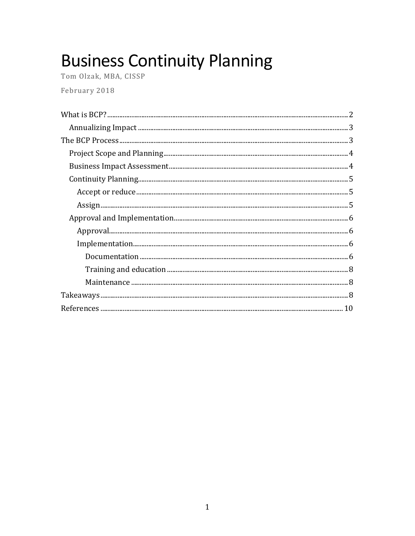# **Business Continuity Planning**

Tom Olzak, MBA, CISSP February 2018

| $\label{lem:main} Implementation$ |
|-----------------------------------|
|                                   |
|                                   |
|                                   |
|                                   |
|                                   |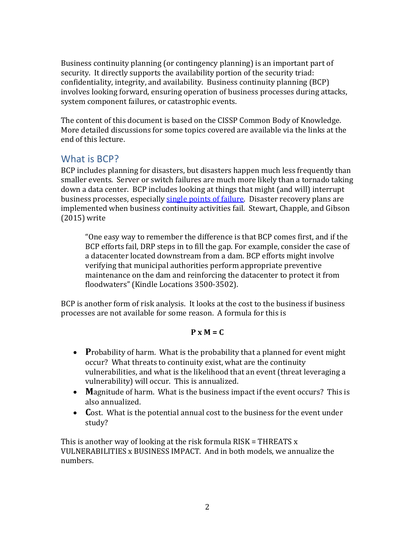Business continuity planning (or contingency planning) is an important part of security. It directly supports the availability portion of the security triad: confidentiality, integrity, and availability. Business continuity planning (BCP) involves looking forward, ensuring operation of business processes during attacks, system component failures, or catastrophic events.

The content of this document is based on the CISSP Common Body of Knowledge. More detailed discussions for some topics covered are available via the links at the end of this lecture.

### <span id="page-1-0"></span>What is BCP?

BCP includes planning for disasters, but disasters happen much less frequently than smaller events. Server or switch failures are much more likely than a tornado taking down a data center. BCP includes looking at things that might (and will) interrupt business processes, especially [single points of failure.](https://www.webopedia.com/TERM/S/SPOF.html) Disaster recovery plans are implemented when business continuity activities fail. Stewart, Chapple, and Gibson (2015) write

"One easy way to remember the difference is that BCP comes first, and if the BCP efforts fail, DRP steps in to fill the gap. For example, consider the case of a datacenter located downstream from a dam. BCP efforts might involve verifying that municipal authorities perform appropriate preventive maintenance on the dam and reinforcing the datacenter to protect it from floodwaters" (Kindle Locations 3500-3502).

BCP is another form of risk analysis. It looks at the cost to the business if business processes are not available for some reason. A formula for this is

#### **P x M = C**

- **P**robability of harm. What is the probability that a planned for event might occur? What threats to continuity exist, what are the continuity vulnerabilities, and what is the likelihood that an event (threat leveraging a vulnerability) will occur. This is annualized.
- **M**agnitude of harm. What is the business impact if the event occurs? This is also annualized.
- **C**ost. What is the potential annual cost to the business for the event under study?

This is another way of looking at the risk formula RISK = THREATS x VULNERABILITIES x BUSINESS IMPACT. And in both models, we annualize the numbers.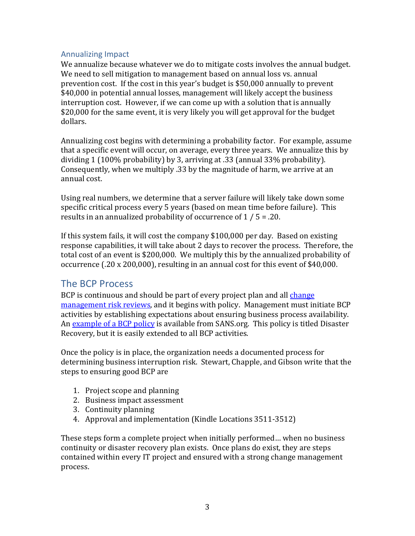#### <span id="page-2-0"></span>Annualizing Impact

We annualize because whatever we do to mitigate costs involves the annual budget. We need to sell mitigation to management based on annual loss vs. annual prevention cost. If the cost in this year's budget is \$50,000 annually to prevent \$40,000 in potential annual losses, management will likely accept the business interruption cost. However, if we can come up with a solution that is annually \$20,000 for the same event, it is very likely you will get approval for the budget dollars.

Annualizing cost begins with determining a probability factor. For example, assume that a specific event will occur, on average, every three years. We annualize this by dividing 1 (100% probability) by 3, arriving at .33 (annual 33% probability). Consequently, when we multiply .33 by the magnitude of harm, we arrive at an annual cost.

Using real numbers, we determine that a server failure will likely take down some specific critical process every 5 years (based on mean time before failure). This results in an annualized probability of occurrence of 1 / 5 = .20.

If this system fails, it will cost the company \$100,000 per day. Based on existing response capabilities, it will take about 2 days to recover the process. Therefore, the total cost of an event is \$200,000. We multiply this by the annualized probability of occurrence (.20 x 200,000), resulting in an annual cost for this event of \$40,000.

#### <span id="page-2-1"></span>The BCP Process

BCP is continuous and should be part of every project plan and all [change](https://www.csoonline.com/article/3067112/business-continuity/ensure-business-continuity-with-change-management.html)  [management risk reviews,](https://www.csoonline.com/article/3067112/business-continuity/ensure-business-continuity-with-change-management.html) and it begins with policy. Management must initiate BCP activities by establishing expectations about ensuring business process availability. An [example of a BCP policy](https://www.sans.org/security-resources/policies/general/doc/disaster-recovery-plan-policy) is available from SANS.org. This policy is titled Disaster Recovery, but it is easily extended to all BCP activities.

Once the policy is in place, the organization needs a documented process for determining business interruption risk. Stewart, Chapple, and Gibson write that the steps to ensuring good BCP are

- 1. Project scope and planning
- 2. Business impact assessment
- 3. Continuity planning
- 4. Approval and implementation (Kindle Locations 3511-3512)

These steps form a complete project when initially performed… when no business continuity or disaster recovery plan exists. Once plans do exist, they are steps contained within every IT project and ensured with a strong change management process.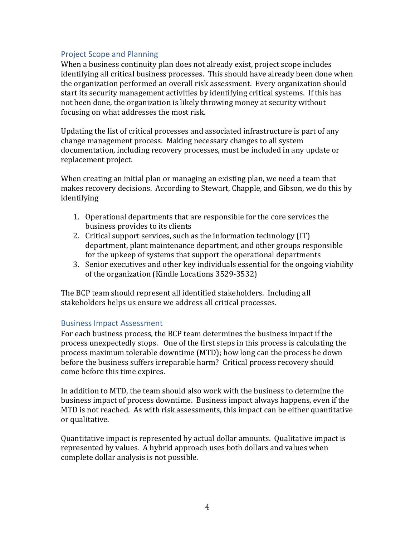#### <span id="page-3-0"></span>Project Scope and Planning

When a business continuity plan does not already exist, project scope includes identifying all critical business processes. This should have already been done when the organization performed an overall risk assessment. Every organization should start its security management activities by identifying critical systems. If this has not been done, the organization is likely throwing money at security without focusing on what addresses the most risk.

Updating the list of critical processes and associated infrastructure is part of any change management process. Making necessary changes to all system documentation, including recovery processes, must be included in any update or replacement project.

When creating an initial plan or managing an existing plan, we need a team that makes recovery decisions. According to Stewart, Chapple, and Gibson, we do this by identifying

- 1. Operational departments that are responsible for the core services the business provides to its clients
- 2. Critical support services, such as the information technology (IT) department, plant maintenance department, and other groups responsible for the upkeep of systems that support the operational departments
- 3. Senior executives and other key individuals essential for the ongoing viability of the organization (Kindle Locations 3529-3532)

The BCP team should represent all identified stakeholders. Including all stakeholders helps us ensure we address all critical processes.

#### <span id="page-3-1"></span>Business Impact Assessment

For each business process, the BCP team determines the business impact if the process unexpectedly stops. One of the first steps in this process is calculating the process maximum tolerable downtime (MTD); how long can the process be down before the business suffers irreparable harm? Critical process recovery should come before this time expires.

In addition to MTD, the team should also work with the business to determine the business impact of process downtime. Business impact always happens, even if the MTD is not reached. As with risk assessments, this impact can be either quantitative or qualitative.

Quantitative impact is represented by actual dollar amounts. Qualitative impact is represented by values. A hybrid approach uses both dollars and values when complete dollar analysis is not possible.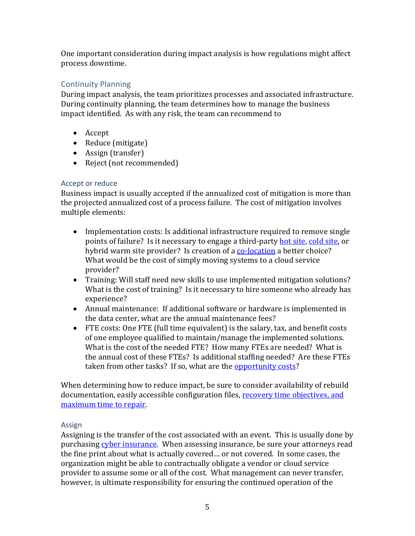One important consideration during impact analysis is how regulations might affect process downtime.

#### <span id="page-4-0"></span>Continuity Planning

During impact analysis, the team prioritizes processes and associated infrastructure. During continuity planning, the team determines how to manage the business impact identified. As with any risk, the team can recommend to

- Accept
- Reduce (mitigate)
- Assign (transfer)
- Reject (not recommended)

#### <span id="page-4-1"></span>Accept or reduce

Business impact is usually accepted if the annualized cost of mitigation is more than the projected annualized cost of a process failure. The cost of mitigation involves multiple elements:

- Implementation costs: Is additional infrastructure required to remove single points of failure? Is it necessary to engage a third-party [hot site,](https://www.techopedia.com/definition/24843/hot-site) [cold](https://www.techopedia.com/definition/998/cold-site) site, or hybrid warm site provider? Is creation of [a co-location](https://www.techopedia.com/definition/2485/co-location-colo) a better choice? What would be the cost of simply moving systems to a cloud service provider?
- Training: Will staff need new skills to use implemented mitigation solutions? What is the cost of training? Is it necessary to hire someone who already has experience?
- Annual maintenance: If additional software or hardware is implemented in the data center, what are the annual maintenance fees?
- FTE costs: One FTE (full time equivalent) is the salary, tax, and benefit costs of one employee qualified to maintain/manage the implemented solutions. What is the cost of the needed FTE? How many FTEs are needed? What is the annual cost of these FTEs? Is additional staffing needed? Are these FTEs taken from other tasks? If so, what are the [opportunity costs?](https://www.investopedia.com/terms/o/opportunitycost.asp)

When determining how to reduce impact, be sure to consider availability of rebuild documentation, easily accessible configuration files, [recovery time objectives, and](https://www.techrepublic.com/blog/data-center/the-elements-of-business-continuity-planning/)  [maximum time to repair.](https://www.techrepublic.com/blog/data-center/the-elements-of-business-continuity-planning/)

#### <span id="page-4-2"></span>Assign

Assigning is the transfer of the cost associated with an event. This is usually done by purchasing [cyber insurance.](https://www.techopedia.com/definition/32532/cyber-insurance) When assessing insurance, be sure your attorneys read the fine print about what is actually covered… or not covered. In some cases, the organization might be able to contractually obligate a vendor or cloud service provider to assume some or all of the cost. What management can never transfer, however, is ultimate responsibility for ensuring the continued operation of the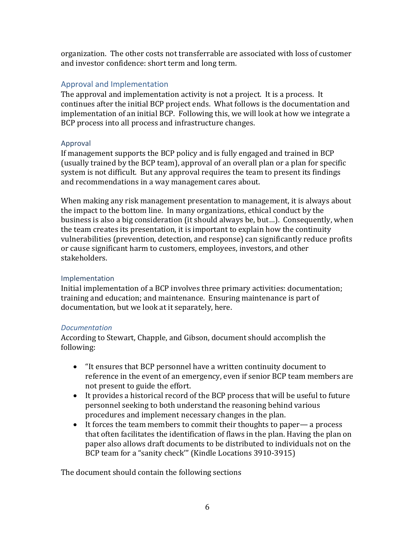organization. The other costs not transferrable are associated with loss of customer and investor confidence: short term and long term.

#### <span id="page-5-0"></span>Approval and Implementation

The approval and implementation activity is not a project. It is a process. It continues after the initial BCP project ends. What follows is the documentation and implementation of an initial BCP. Following this, we will look at how we integrate a BCP process into all process and infrastructure changes.

#### <span id="page-5-1"></span>Approval

If management supports the BCP policy and is fully engaged and trained in BCP (usually trained by the BCP team), approval of an overall plan or a plan for specific system is not difficult. But any approval requires the team to present its findings and recommendations in a way management cares about.

When making any risk management presentation to management, it is always about the impact to the bottom line. In many organizations, ethical conduct by the business is also a big consideration (it should always be, but…). Consequently, when the team creates its presentation, it is important to explain how the continuity vulnerabilities (prevention, detection, and response) can significantly reduce profits or cause significant harm to customers, employees, investors, and other stakeholders.

#### <span id="page-5-2"></span>Implementation

Initial implementation of a BCP involves three primary activities: documentation; training and education; and maintenance. Ensuring maintenance is part of documentation, but we look at it separately, here.

#### <span id="page-5-3"></span>*Documentation*

According to Stewart, Chapple, and Gibson, document should accomplish the following:

- "It ensures that BCP personnel have a written continuity document to reference in the event of an emergency, even if senior BCP team members are not present to guide the effort.
- It provides a historical record of the BCP process that will be useful to future personnel seeking to both understand the reasoning behind various procedures and implement necessary changes in the plan.
- It forces the team members to commit their thoughts to paper— a process that often facilitates the identification of flaws in the plan. Having the plan on paper also allows draft documents to be distributed to individuals not on the BCP team for a "sanity check'" (Kindle Locations 3910-3915)

The document should contain the following sections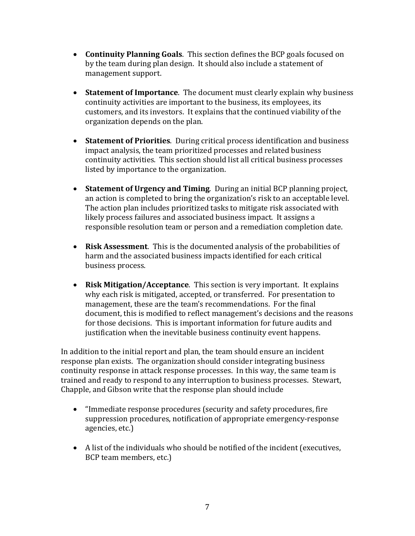- **Continuity Planning Goals**. This section defines the BCP goals focused on by the team during plan design. It should also include a statement of management support.
- **Statement of Importance**. The document must clearly explain why business continuity activities are important to the business, its employees, its customers, and its investors. It explains that the continued viability of the organization depends on the plan.
- **Statement of Priorities**. During critical process identification and business impact analysis, the team prioritized processes and related business continuity activities. This section should list all critical business processes listed by importance to the organization.
- **Statement of Urgency and Timing**. During an initial BCP planning project, an action is completed to bring the organization's risk to an acceptable level. The action plan includes prioritized tasks to mitigate risk associated with likely process failures and associated business impact. It assigns a responsible resolution team or person and a remediation completion date.
- **Risk Assessment**. This is the documented analysis of the probabilities of harm and the associated business impacts identified for each critical business process.
- **Risk Mitigation/Acceptance**. This section is very important. It explains why each risk is mitigated, accepted, or transferred. For presentation to management, these are the team's recommendations. For the final document, this is modified to reflect management's decisions and the reasons for those decisions. This is important information for future audits and justification when the inevitable business continuity event happens.

In addition to the initial report and plan, the team should ensure an incident response plan exists. The organization should consider integrating business continuity response in attack response processes. In this way, the same team is trained and ready to respond to any interruption to business processes. Stewart, Chapple, and Gibson write that the response plan should include

- "Immediate response procedures (security and safety procedures, fire suppression procedures, notification of appropriate emergency-response agencies, etc.)
- A list of the individuals who should be notified of the incident (executives, BCP team members, etc.)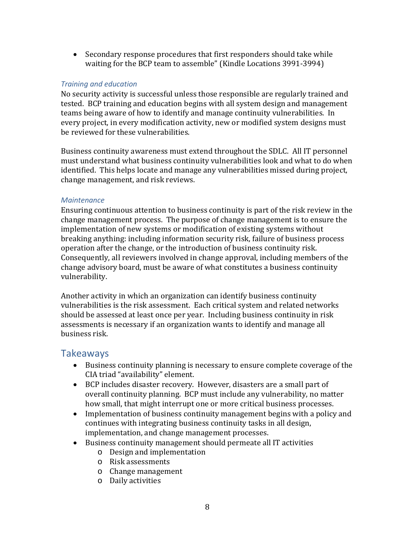• Secondary response procedures that first responders should take while waiting for the BCP team to assemble" (Kindle Locations 3991-3994)

#### <span id="page-7-0"></span>*Training and education*

No security activity is successful unless those responsible are regularly trained and tested. BCP training and education begins with all system design and management teams being aware of how to identify and manage continuity vulnerabilities. In every project, in every modification activity, new or modified system designs must be reviewed for these vulnerabilities.

Business continuity awareness must extend throughout the SDLC. All IT personnel must understand what business continuity vulnerabilities look and what to do when identified. This helps locate and manage any vulnerabilities missed during project, change management, and risk reviews.

#### <span id="page-7-1"></span>*Maintenance*

Ensuring continuous attention to business continuity is part of the risk review in the change management process. The purpose of change management is to ensure the implementation of new systems or modification of existing systems without breaking anything: including information security risk, failure of business process operation after the change, or the introduction of business continuity risk. Consequently, all reviewers involved in change approval, including members of the change advisory board, must be aware of what constitutes a business continuity vulnerability.

Another activity in which an organization can identify business continuity vulnerabilities is the risk assessment. Each critical system and related networks should be assessed at least once per year. Including business continuity in risk assessments is necessary if an organization wants to identify and manage all business risk.

#### <span id="page-7-2"></span>Takeaways

- Business continuity planning is necessary to ensure complete coverage of the CIA triad "availability" element.
- BCP includes disaster recovery. However, disasters are a small part of overall continuity planning. BCP must include any vulnerability, no matter how small, that might interrupt one or more critical business processes.
- Implementation of business continuity management begins with a policy and continues with integrating business continuity tasks in all design, implementation, and change management processes.
- Business continuity management should permeate all IT activities
	- o Design and implementation
	- o Risk assessments
	- o Change management
	- o Daily activities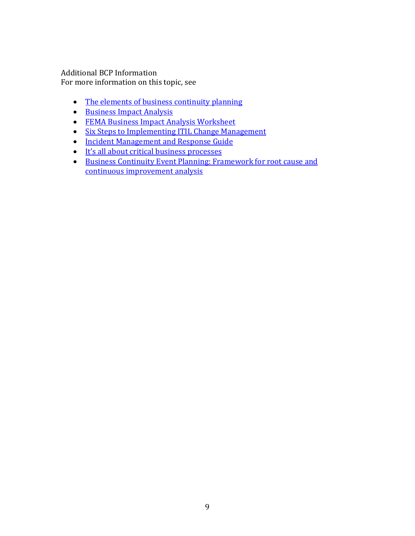Additional BCP Information For more information on this topic, see

- [The elements of business continuity planning](https://www.techrepublic.com/blog/data-center/the-elements-of-business-continuity-planning/)
- [Business Impact Analysis](https://ithandbook.ffiec.gov/it-booklets/business-continuity-planning/business-impact-analysis.aspx)
- [FEMA Business Impact Analysis Worksheet](https://www.fema.gov/media-library/assets/documents/89526)
- [Six Steps to Implementing ITIL Change Management](https://www.manageengine.com/products/service-desk/change-management-implementation.html)
- [Incident Management and Response Guide](http://adventuresinsecurity.com/CMGT433/Incident_Management_Response_Guide.pdf)
- [It's all about critical business processes](https://www.csoonline.com/article/3099962/security/its-all-about-critical-processes.html)
- [Business Continuity Event Planning: Framework for root cause and](https://www.csoonline.com/article/2137169/business-continuity/business-continuity-event-planning--framework-for-root-cause-and-continuous-impr.html)  [continuous improvement analysis](https://www.csoonline.com/article/2137169/business-continuity/business-continuity-event-planning--framework-for-root-cause-and-continuous-impr.html)